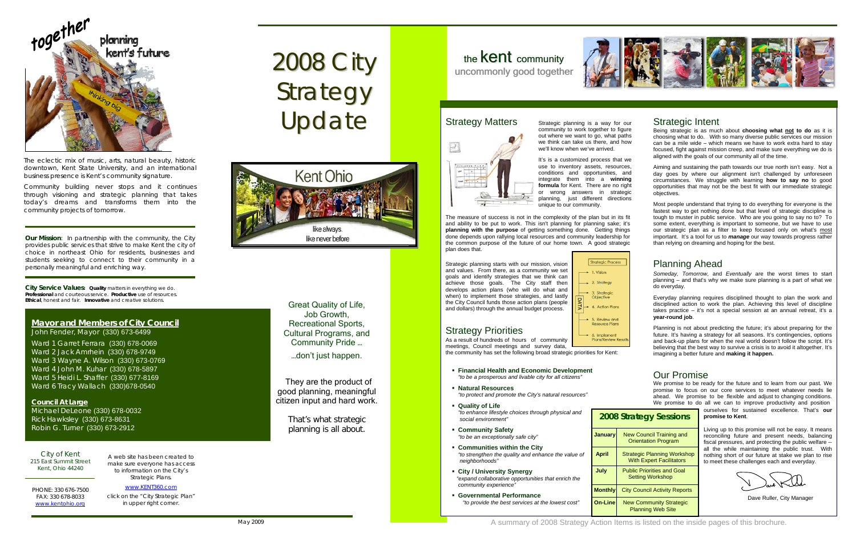**Our Mission**: *In partnership with the community, the City provides public services that strive to make Kent the city of choice in northeast Ohio for residents, businesses and students seeking to connect to their community in a personally meaningful and enriching way.*

**City Service Values***: Quality* matters in everything we do. *Professional* and courteous service. *Productive* use of resources.*Ethical*, honest and fair. *Innovative* and creative solutions.

#### **Mayor and Members of City Council** John Fender, Mayor (330) 673-6499

Ward 1 Garret Ferrara (330) 678-0069 Ward 2 Jack Amrhein (330) 678-9749 Ward 3 Wayne A. Wilson (330) 673-0769 Ward 4 John M. Kuhar (330) 678-5897 Ward 5 Heidi L. Shaffer (330) 677-8169 Ward 6 Tracy Wallach (330)678-0540

#### **Council At Large**

Michael DeLeone (330) 678-0032 Rick Hawksley (330) 673-8631 Robin G. Turner (330) 673-2912

City of Kent 215 East Summit Street Kent, Ohio 44240

PHONE: 330 676-7500 FAX: 330 678-8033 [www.kentohio.org](http://www.kentohio.org/)

A web site has been created to make sure everyone has access to information on the City's Strategic Plans.

[www.KENT360.com](http://www.kent360.com/)click on the "City Strategic Plan" in upper right corner.

# 2008 City Strategy Update



#### Strategic Intent

Being strategic is as much about **choosing what not to do** as it is choosing what to do. With so many diverse public services our mission can be a mile wide – which means we have to work extra hard to stay focused, fight against mission creep, and make sure everything we do is aligned with the goals of our community all of the time.

January **New Council Training and**  Orientation Program **April** Strategic Planning Workshop With Expert Facilitators **July Public Priorities and Goal Setting Workshop Monthly** City Council Activity Reports **On-Line** New Community Strategic Planning Web Site

Aiming and sustaining the path towards our true north isn't easy. Not a day goes by where our alignment isn't challenged by unforeseen circumstances. We struggle with learning **how to say no** to good opportunities that may not be the best fit with our immediate strategic objectives.

Most people understand that trying to do everything for everyone is the fastest way to get nothing done but that level of strategic discipline is tough to muster in public service. Who are you going to say no to? To some extent, everything is important to someone, but we have to use our strategic plan as a filter to keep focused only on what's most important. It's a tool for us to *manage* our way towards progress rather than relying on dreaming and hoping for the best.

It's is a customized process that we use to inventory assets, resources, conditions and opportunities, and integrate them into a **winning formula** for Kent. There are no right or wrong answers in strategic planning, just different directions unique to our community.

> *Someday, Tomorrow,* and *Eventually* are the worst times to start planning – and that's why we make sure planning is a part of what we do everyday.

> Everyday planning requires disciplined thought to plan the work and disciplined action to work the plan. Achieving this level of discipline takes practice – it's not a special session at an annual retreat, it's a **year-round job**.

> Planning is not about predicting the future; it's about preparing for the future. It's having a strategy for all seasons. It's contingencies, options and back-up plans for when the real world doesn't follow the script. It's believing that the best way to survive a crisis is to avoid it altogether. It's imagining a better future and **making it happen.**

#### **2008 Strategy Sessions**

We promise to be ready for the future and to learn from our past. We promise to focus on our core services to meet whatever needs lie ahead. We promise to be flexible and adjust to changing conditions. We promise to do all we can to improve productivity and position

Great Quality of Life, Job Growth, Recreational Sports, Cultural Programs, and Community Pride … …don't just happen.

They are the product of good planning, meaningful citizen input and hard work.

> That's what strategic planning is all about.

## the **Kent** community uncommonly good together



### Strategy Matters Strategic planning is a way for our





The eclectic mix of music, arts, natural beauty, historic downtown, Kent State University, and an international business presence is Kent's community signature.

Community building never stops and it continues through visioning and strategic planning that takes today's dreams and transforms them into the community projects of tomorrow.

community to work together to figure out where we want to go, what paths we think can take us there, and how we'll know when we've arrived.

The measure of success is not in the complexity of the plan but in its fit and ability to be put to work. This isn't planning for planning sake; it's **planning with the purpose** of getting something done. Getting things done depends upon rallying local resources and community leadership for the common purpose of the future of our home town. A good strategic plan does that.

Strategic planning starts with our mission, vision and values. From there, as a community we set goals and identify strategies that we think can achieve those goals. The City staff then develops action plans (who will do what and when) to implement those strategies, and lastly the City Council funds those action plans (people and dollars) through the annual budget process.



## Strategy Priorities

Dave Ruller, City Manager

- **Financial Health and Economic Development**  *"to be a prosperous and livable city for all citizens"*
- *"to protect and promote the City's natural resources"*  **Natural Resources**
- **Quality of Life**  *"to enhance lifestyle choices through physical and social environment"*
- **Community Safety**   *"to be an exceptionally safe city"*
- **Communities within the City**   *"to strengthen the quality and enhance the value of neighborhoods"*
- **City / University Synergy**  *"expand collaborative opportunities that enrich the community experience"*
- **Governmental Performance**  *"to provide the best services at the lowest cost"*

As a result of hundreds of hours of community meetings, Council meetings and survey data,

the community has set the following broad strategic priorities for Kent:

#### Planning Ahead

ourselves for sustained excellence. That's **our promise to Kent**.

Living up to this promise will not be easy. It means reconciling future and present needs, balancing fiscal pressures, and protecting the public welfare -all the while maintaining the public trust. With nothing short of our future at stake we plan to rise to meet these challenges each and everyday.

## Our Promise